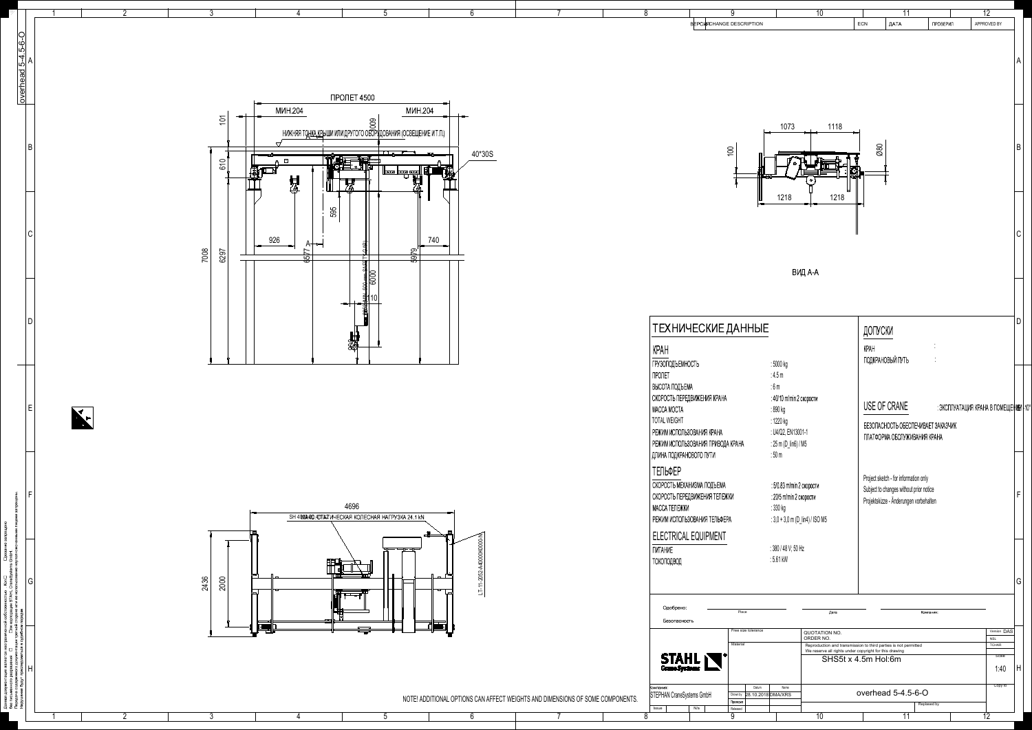

| 7                                                                                                                                                  | $\overline{8}$                                                 |                                        | 9                               |                                                        | $\overline{10}$           |          | $\overline{11}$                                                                   |                            | $\overline{12}$                      |         |
|----------------------------------------------------------------------------------------------------------------------------------------------------|----------------------------------------------------------------|----------------------------------------|---------------------------------|--------------------------------------------------------|---------------------------|----------|-----------------------------------------------------------------------------------|----------------------------|--------------------------------------|---------|
|                                                                                                                                                    |                                                                |                                        | <b>BEPCURCHANGE DESCRIPTION</b> |                                                        |                           | ECN      | ДАТА                                                                              | ПРОВЕРИЛ                   | APPROVED BY                          |         |
|                                                                                                                                                    |                                                                |                                        |                                 |                                                        |                           |          |                                                                                   |                            |                                      |         |
|                                                                                                                                                    |                                                                |                                        |                                 |                                                        |                           |          |                                                                                   |                            |                                      | A       |
|                                                                                                                                                    |                                                                |                                        |                                 |                                                        |                           |          |                                                                                   |                            |                                      |         |
|                                                                                                                                                    |                                                                |                                        |                                 |                                                        |                           |          |                                                                                   |                            |                                      |         |
|                                                                                                                                                    |                                                                |                                        |                                 |                                                        |                           |          |                                                                                   |                            |                                      |         |
|                                                                                                                                                    |                                                                |                                        |                                 |                                                        |                           |          |                                                                                   |                            |                                      |         |
|                                                                                                                                                    |                                                                |                                        |                                 | 1073                                                   | 1118                      |          |                                                                                   |                            |                                      |         |
|                                                                                                                                                    |                                                                |                                        | 100                             |                                                        |                           |          | $\varnothing\varnothing$                                                          |                            |                                      | $\sf B$ |
|                                                                                                                                                    |                                                                |                                        |                                 |                                                        |                           |          |                                                                                   |                            |                                      |         |
|                                                                                                                                                    |                                                                |                                        |                                 | ൧                                                      | $\circ$                   | to.<br>M |                                                                                   |                            |                                      |         |
|                                                                                                                                                    |                                                                |                                        |                                 |                                                        |                           |          |                                                                                   |                            |                                      |         |
|                                                                                                                                                    |                                                                |                                        |                                 | 1218                                                   | 1218                      |          |                                                                                   |                            |                                      |         |
|                                                                                                                                                    |                                                                |                                        |                                 |                                                        |                           |          |                                                                                   |                            |                                      |         |
|                                                                                                                                                    |                                                                |                                        |                                 |                                                        |                           |          |                                                                                   |                            |                                      | C       |
|                                                                                                                                                    |                                                                |                                        |                                 |                                                        |                           |          |                                                                                   |                            |                                      |         |
|                                                                                                                                                    |                                                                |                                        |                                 |                                                        |                           |          |                                                                                   |                            |                                      |         |
|                                                                                                                                                    |                                                                |                                        |                                 |                                                        | ВИД А-А                   |          |                                                                                   |                            |                                      |         |
|                                                                                                                                                    |                                                                |                                        |                                 |                                                        |                           |          |                                                                                   |                            |                                      |         |
|                                                                                                                                                    |                                                                |                                        |                                 |                                                        |                           |          |                                                                                   |                            |                                      |         |
|                                                                                                                                                    |                                                                |                                        |                                 |                                                        |                           |          |                                                                                   |                            |                                      | D       |
| ТЕХНИЧЕСКИЕ ДАННЫЕ                                                                                                                                 |                                                                |                                        |                                 |                                                        |                           |          | ДОПУСКИ                                                                           |                            |                                      |         |
|                                                                                                                                                    |                                                                | <b>KPAH</b>                            |                                 |                                                        |                           | KPAH     |                                                                                   | ٠<br>$\mathbf{r}$          |                                      |         |
|                                                                                                                                                    |                                                                | <b>ГРУЗОПОДЪЕМНОСТЬ</b>                |                                 | : 5000 kg                                              |                           |          | ПОДКРАНОВЫЙ ПУТЬ                                                                  |                            |                                      |         |
|                                                                                                                                                    |                                                                | ПРОЛЕТ                                 |                                 | :4.5 $m$                                               |                           |          |                                                                                   |                            |                                      |         |
|                                                                                                                                                    |                                                                | ВЫСОТА ПОДЪЕМА                         | СКОРОСТЬ ПЕРЕДВИЖЕНИЯ КРАНА     | $:6\,\mathrm{m}$<br>: 40/10 m/min 2 скорости           |                           |          |                                                                                   |                            |                                      |         |
|                                                                                                                                                    |                                                                | MACCA MOCTA                            |                                 | : 890 kg                                               |                           |          | USE OF CRANE                                                                      |                            | ∶ЭКСПЛУАТАЦИЯ КРАНА В ПОМЕЩЕННЕИ ⊦1। |         |
|                                                                                                                                                    |                                                                | <b>TOTAL WEIGHT</b>                    |                                 | : 1220 kg                                              |                           |          | БЕЗОПАСНОСТЬ ОБЕСПЕЧИВАЕТ ЗАКАЗЧИК                                                |                            |                                      |         |
|                                                                                                                                                    | РЕЖИМ ИСПОЛЬЗОВАНИЯ КРАНА<br>РЕЖИМ ИСПОЛЬЗОВАНИЯ ПРИВОДА КРАНА |                                        |                                 | : U4/Q2, EN13001-1<br>$: 25 \text{ m} (D_{lin6}) / M5$ |                           |          | ПЛАТФОРМА ОБСЛУЖИВАНИЯ КРАНА                                                      |                            |                                      |         |
|                                                                                                                                                    |                                                                | ДЛИНА ПОДКРАНОВОГО ПУТИ                |                                 | $:50 \text{ m}$                                        |                           |          |                                                                                   |                            |                                      |         |
|                                                                                                                                                    |                                                                | ТЕЛЬФЕР                                |                                 |                                                        |                           |          |                                                                                   |                            |                                      |         |
|                                                                                                                                                    |                                                                | СКОРОСТЬ МЕХАНИЗМА ПОДЪЕМА             |                                 |                                                        | : 5/0.83 m/min 2 скорости |          | Project sketch - for information only                                             |                            |                                      |         |
| СКОРОСТЬ ПЕРЕДВИЖЕНИЯ ТЕЛЕЖКИ                                                                                                                      |                                                                |                                        |                                 | : 20/5 m/min 2 скорости                                |                           |          | Subject to changes without prior notice<br>Projektskizze - Änderungen vorbehalten |                            |                                      |         |
|                                                                                                                                                    |                                                                | МАССА ТЕЛЕЖКИ                          |                                 | : 330 kg                                               |                           |          |                                                                                   |                            |                                      |         |
|                                                                                                                                                    |                                                                |                                        | РЕЖИМ ИСПОЛЬЗОВАНИЯ ТЕЛЬФЕРА    | : $3,0 + 3,0$ m (D_lin4) / ISO M5                      |                           |          |                                                                                   |                            |                                      |         |
| <b>ПИТАНИЕ</b>                                                                                                                                     |                                                                | ELECTRICAL EQUIPMENT                   |                                 | : 380 / 48 V; 50 Hz                                    |                           |          |                                                                                   |                            |                                      |         |
|                                                                                                                                                    |                                                                |                                        | ТОКОПОДВОД                      |                                                        | $:5.61$ kW                |          |                                                                                   |                            |                                      |         |
|                                                                                                                                                    |                                                                |                                        |                                 |                                                        |                           |          |                                                                                   |                            |                                      |         |
|                                                                                                                                                    |                                                                |                                        |                                 |                                                        |                           |          |                                                                                   |                            |                                      | G       |
|                                                                                                                                                    |                                                                | Одобрено:                              |                                 |                                                        |                           |          |                                                                                   |                            |                                      |         |
|                                                                                                                                                    |                                                                | Безопасность                           | Place                           |                                                        | Дата                      |          |                                                                                   | Компания:                  |                                      |         |
| Free size tolerance<br>QUOTATION NO.                                                                                                               |                                                                |                                        |                                 |                                                        |                           |          | Version DAS                                                                       |                            |                                      |         |
| ORDER NO.<br>Material<br>Reproduction and transmission to third parties is not permitted<br>We reserve all rights under copyright for this drawing |                                                                |                                        |                                 |                                                        |                           |          |                                                                                   | <b>NSL</b><br><b>TCHAR</b> |                                      |         |
| $\frac{\text{STALL}}{\text{Crane Systems}}$<br>SHS5t x 4.5m Hol:6m                                                                                 |                                                                |                                        |                                 |                                                        |                           |          | Scale                                                                             |                            |                                      |         |
|                                                                                                                                                    |                                                                |                                        |                                 |                                                        |                           |          |                                                                                   |                            | 1:40                                 | H       |
|                                                                                                                                                    |                                                                | Компания:<br>STEPHAN CraneSystems GmbH | Datum<br>Drown by               | Name<br>28.10.2018 DMA/XRS                             |                           |          | overhead 5-4.5-6-O                                                                |                            | Copy to                              |         |
| MENSIONS OF SOME COMPONENTS.                                                                                                                       |                                                                | Issue                                  | Проверил<br>N/a<br>Released     |                                                        |                           |          |                                                                                   | Replased by                |                                      |         |
| $\overline{7}$                                                                                                                                     | 8                                                              |                                        | 9                               |                                                        | 10                        |          | $\overline{11}$                                                                   |                            | $\overline{12}$                      |         |